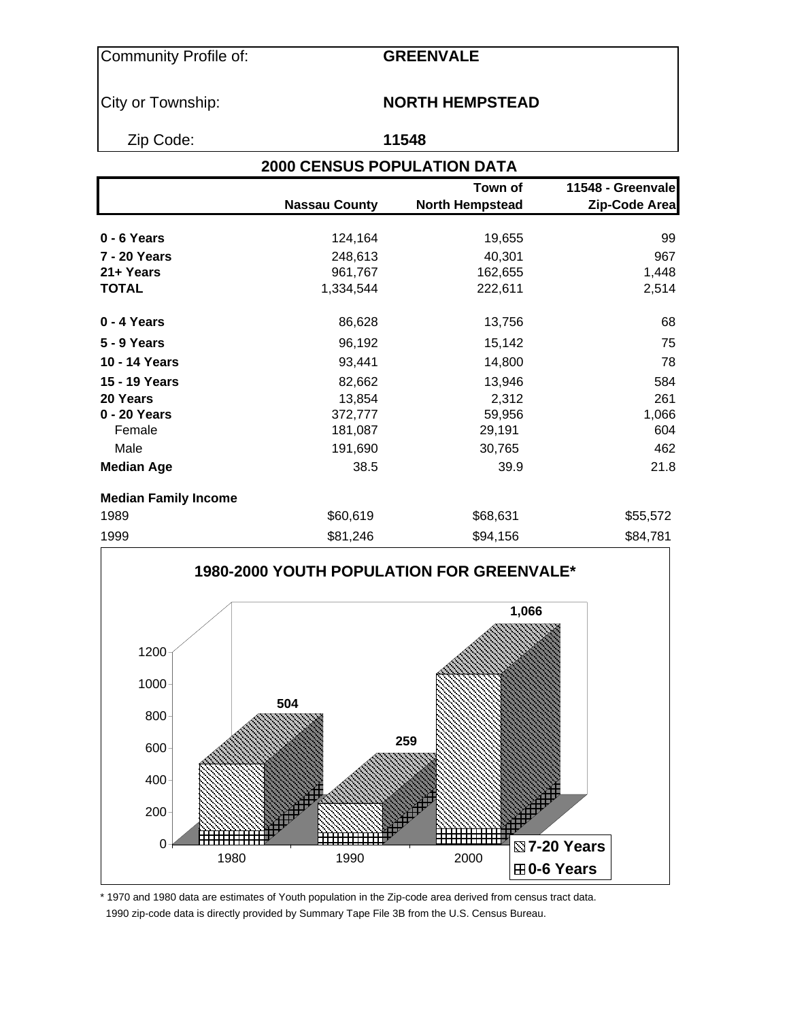### Community Profile of: **GREENVALE**

### City or Township: **NORTH HEMPSTEAD**

Zip Code: **11548**

# **2000 CENSUS POPULATION DATA**

|                             |                      | Town of                | 11548 - Greenvale |
|-----------------------------|----------------------|------------------------|-------------------|
|                             | <b>Nassau County</b> | <b>North Hempstead</b> | Zip-Code Area     |
| $0 - 6$ Years               | 124,164              | 19,655                 | 99                |
|                             |                      |                        |                   |
| <b>7 - 20 Years</b>         | 248,613              | 40,301                 | 967               |
| 21+ Years                   | 961,767              | 162,655                | 1,448             |
| <b>TOTAL</b>                | 1,334,544            | 222,611                | 2,514             |
| $0 - 4$ Years               | 86,628               | 13,756                 | 68                |
| <b>5 - 9 Years</b>          | 96,192               | 15,142                 | 75                |
| 10 - 14 Years               | 93,441               | 14,800                 | 78                |
| 15 - 19 Years               | 82,662               | 13,946                 | 584               |
| 20 Years                    | 13,854               | 2,312                  | 261               |
| 0 - 20 Years                | 372,777              | 59,956                 | 1,066             |
| Female                      | 181,087              | 29,191                 | 604               |
| Male                        | 191,690              | 30,765                 | 462               |
| <b>Median Age</b>           | 38.5                 | 39.9                   | 21.8              |
| <b>Median Family Income</b> |                      |                        |                   |
| 1989                        | \$60,619             | \$68,631               | \$55,572          |
| 1999                        | \$81,246             | \$94,156               | \$84,781          |



\* 1970 and 1980 data are estimates of Youth population in the Zip-code area derived from census tract data. 1990 zip-code data is directly provided by Summary Tape File 3B from the U.S. Census Bureau.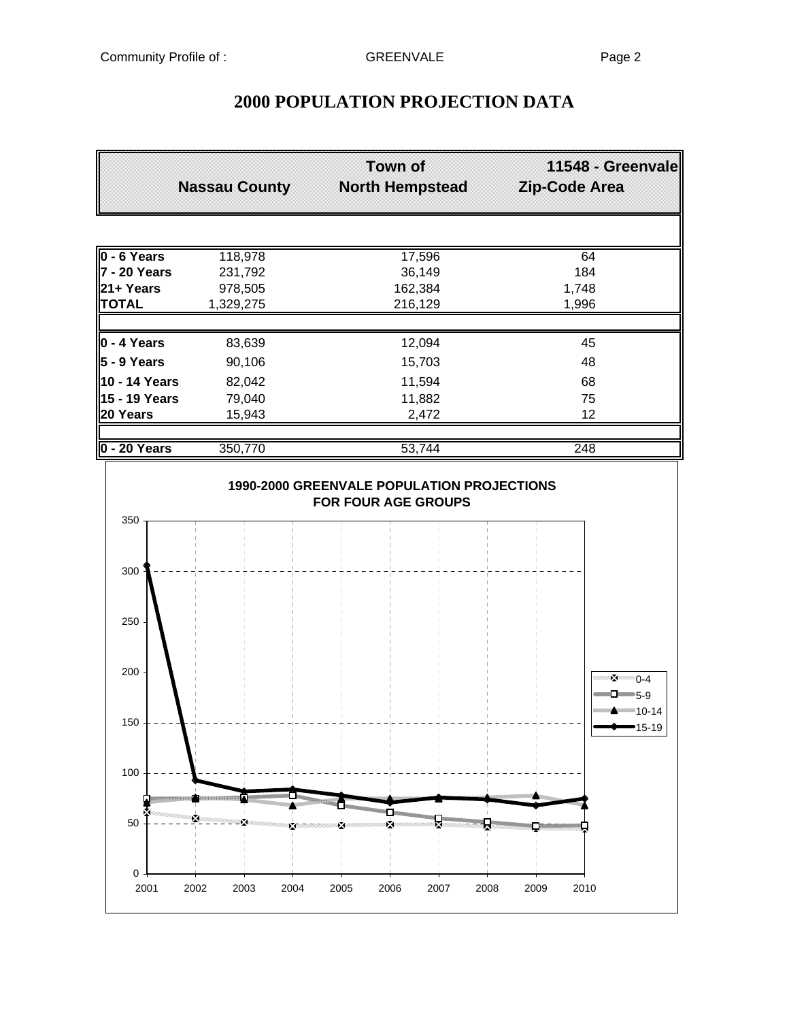|                     | <b>Nassau County</b> | <b>Town of</b><br><b>North Hempstead</b> | 11548 - Greenvale<br>Zip-Code Area |
|---------------------|----------------------|------------------------------------------|------------------------------------|
|                     |                      |                                          |                                    |
| $0 - 6$ Years       | 118,978              | 17,596                                   | 64                                 |
| <b>7 - 20 Years</b> | 231,792              | 36,149                                   | 184                                |
| 21+ Years           | 978,505              | 162,384                                  | 1,748                              |
| <b>TOTAL</b>        | 1,329,275            | 216,129                                  | 1,996                              |
| $\vert$ 0 - 4 Years | 83,639               | 12,094                                   | 45                                 |
| 5 - 9 Years         | 90,106               | 15,703                                   | 48                                 |
| 10 - 14 Years       | 82,042               | 11,594                                   | 68                                 |
| 15 - 19 Years       | 79,040               | 11,882                                   | 75                                 |
| 20 Years            | 15,943               | 2,472                                    | 12                                 |
|                     |                      |                                          |                                    |
| 0 - 20 Years        | 350,770              | 53,744                                   | $\overline{248}$                   |

## **2000 POPULATION PROJECTION DATA**

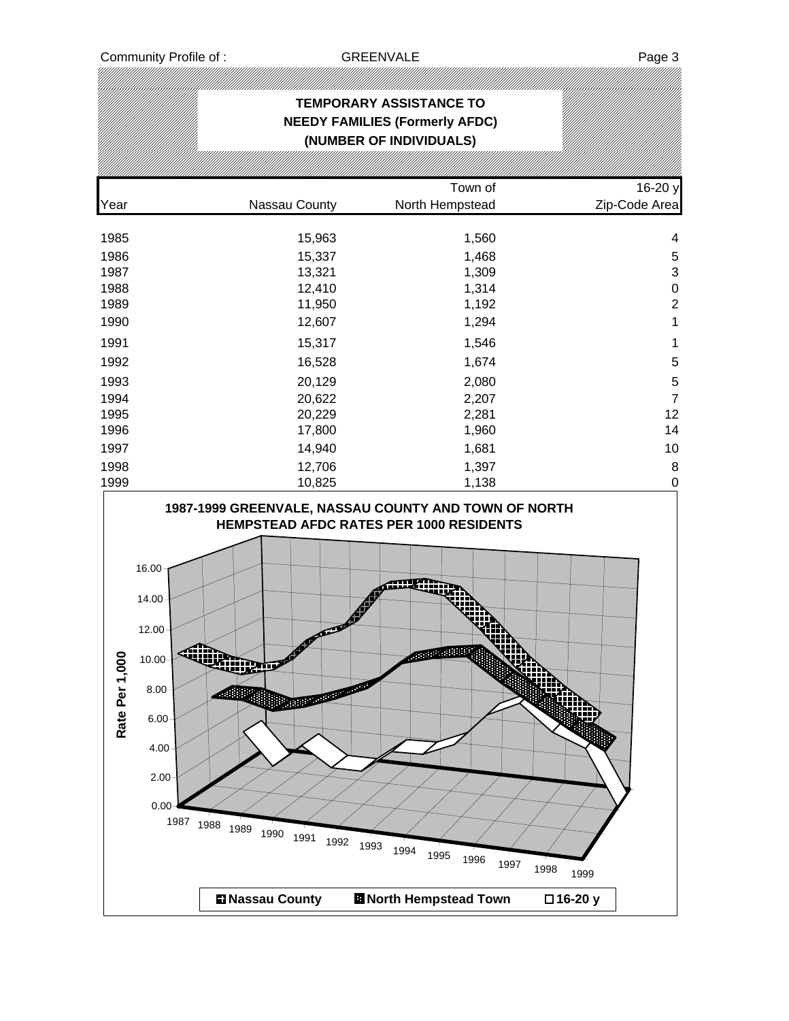# **TEMPORARY ASSISTANCE TO NEEDY FAMILIES (Formerly AFDC) (NUMBER OF INDIVIDUALS)** Town of 16-20 y Year **Nassau County** North Hempstead **North Hempstead** Zip-Code Area 1985 15,963 1,560 4 1986 15,337 1,468 5 1987 13,321 1,309 3 1988 12,410 1,314 0 1989 11,950 1,192 2 1990 12,607 1,294 1 1991 15,317 1,546 1 1992 16,528 1,674 5 1993 20,129 2,080 5 1994 20,622 2,207 7 1995 20,229 2,281 12 1996 17,800 1,960 14 1997 14,940 1,681 10 1998 12,706 1,397 8 1999 10,825 1,138 0 1,960 **1987-1999 GREENVALE, NASSAU COUNTY AND TOWN OF NORTH HEMPSTEAD AFDC RATES PER 1000 RESIDENTS** 16.00 14.00 12.00 in<br>Wil Rate Per 1,000 **Rate Per 1,000**10.00 8.00 6.00 4.00 2.00  $0.00 -$ 1987 1988 1989 1990 1991 1992 1993 1994 1995 1996 1997 1998 1999 **EXALUS** North Hempstead Town **16-20** y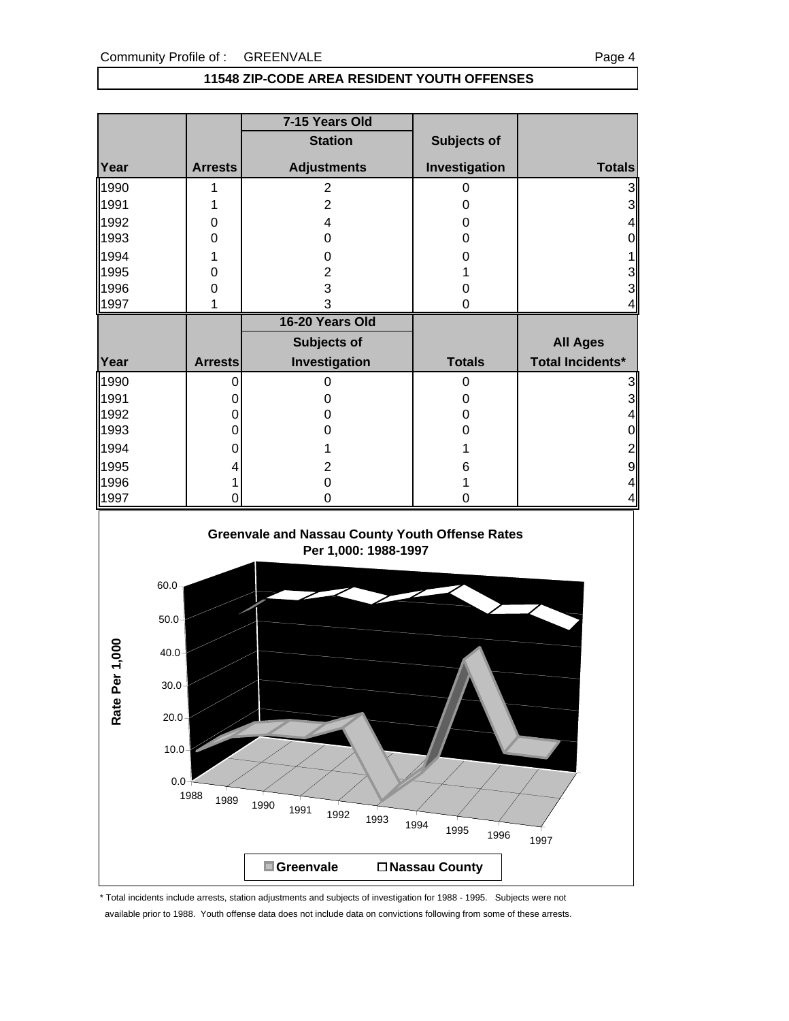#### **11548 ZIP-CODE AREA RESIDENT YOUTH OFFENSES**

|                                                                             |                                     | 7-15 Years Old                                                                                                 |                      |                          |
|-----------------------------------------------------------------------------|-------------------------------------|----------------------------------------------------------------------------------------------------------------|----------------------|--------------------------|
|                                                                             |                                     | <b>Station</b>                                                                                                 | Subjects of          |                          |
| Year                                                                        | <b>Arrests</b>                      | <b>Adjustments</b>                                                                                             | Investigation        | <b>Totals</b>            |
| 1990                                                                        | 1                                   | $\overline{2}$                                                                                                 | $\pmb{0}$            | 3                        |
| 1991                                                                        | 1                                   | $\overline{2}$                                                                                                 | 0                    | $\mathbf{3}$             |
| 1992                                                                        | 0                                   | 4                                                                                                              | 0                    | 4                        |
| 1993                                                                        | 0                                   | 0                                                                                                              | 0                    | $\boldsymbol{0}$         |
| 1994                                                                        | 1                                   | 0                                                                                                              | 0                    |                          |
| 1995                                                                        | 0                                   | $\overline{c}$                                                                                                 | 1                    |                          |
| 1996                                                                        | $\mathbf 0$                         | 3                                                                                                              | 0                    | ვ<br>ვ                   |
| 1997                                                                        | 1                                   | 3                                                                                                              | 0                    | $\overline{\mathcal{L}}$ |
|                                                                             |                                     | 16-20 Years Old                                                                                                |                      |                          |
|                                                                             |                                     | Subjects of                                                                                                    |                      | <b>All Ages</b>          |
| Year                                                                        | <b>Arrests</b>                      | Investigation                                                                                                  | <b>Totals</b>        | <b>Total Incidents*</b>  |
| 1990                                                                        | 0                                   | 0                                                                                                              | 0                    | $\mathbf{3}$             |
| 1991                                                                        | 0                                   | 0                                                                                                              | 0                    | $\frac{3}{4}$            |
| 1992                                                                        | 0                                   | 0                                                                                                              | 0                    |                          |
| 1993                                                                        | 0                                   | 0                                                                                                              | 0                    | $\overline{0}$           |
| 1994                                                                        | 0                                   | 1                                                                                                              | 1                    | $\overline{\mathbf{c}}$  |
| 1995                                                                        | 4                                   | $\overline{2}$                                                                                                 | 6                    | 9                        |
| 1996<br>1997                                                                |                                     | 0<br>0                                                                                                         | 1<br>0               | 4<br>4                   |
| $60.0 -$<br>50.0<br>er 1,000<br>$40.0 -$<br>$30.0 -$<br>Rate Pe<br>$20.0 -$ | $10.0 +$<br>$0.0 -$<br>1988<br>1989 | <b>Greenvale and Nassau County Youth Offense Rates</b><br>Per 1,000: 1988-1997<br>1990<br>1991<br>1992<br>1993 | 1994<br>1995<br>1996 | 1997                     |
|                                                                             |                                     | Greenvale                                                                                                      | □ Nassau County      |                          |

\* Total incidents include arrests, station adjustments and subjects of investigation for 1988 - 1995. Subjects were not available prior to 1988. Youth offense data does not include data on convictions following from some of these arrests.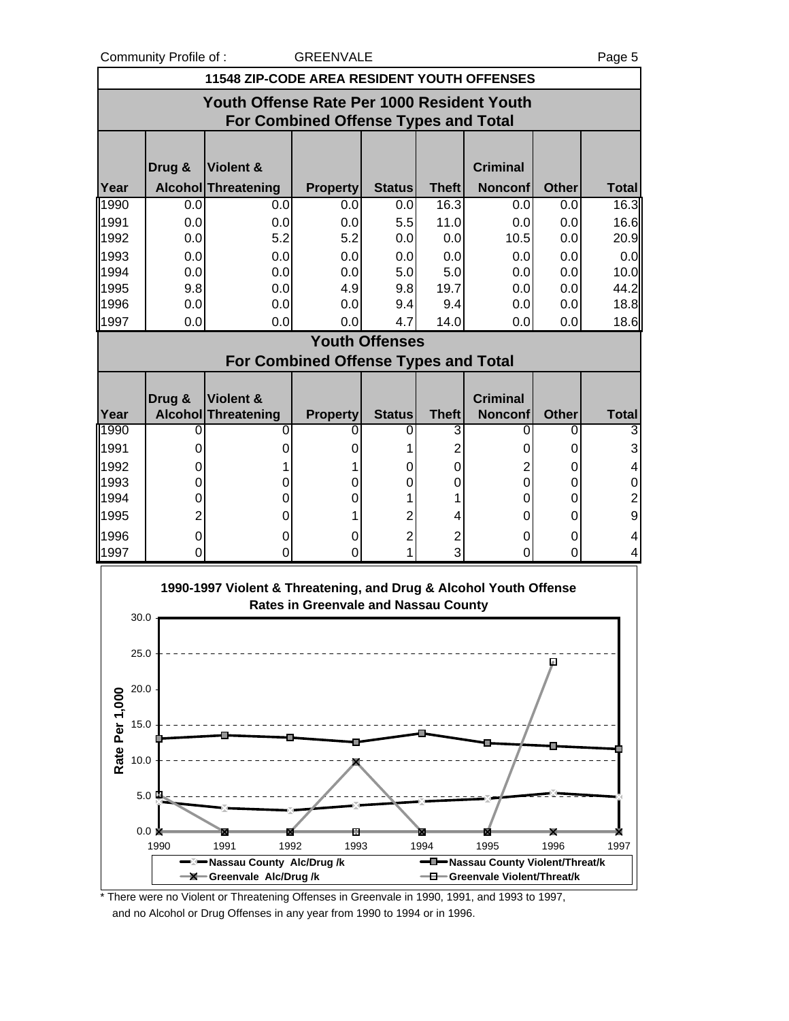Community Profile of : GREENVALE **COMMUNISTS** Page 5

|                |                                            |        |                                                                   |                                             |                       |              |                 |              | ı uyu u                  |  |
|----------------|--------------------------------------------|--------|-------------------------------------------------------------------|---------------------------------------------|-----------------------|--------------|-----------------|--------------|--------------------------|--|
|                |                                            |        | <b>11548 ZIP-CODE AREA RESIDENT YOUTH OFFENSES</b>                |                                             |                       |              |                 |              |                          |  |
|                | Youth Offense Rate Per 1000 Resident Youth |        |                                                                   |                                             |                       |              |                 |              |                          |  |
|                |                                            |        |                                                                   | <b>For Combined Offense Types and Total</b> |                       |              |                 |              |                          |  |
|                |                                            |        |                                                                   |                                             |                       |              |                 |              |                          |  |
|                |                                            | Drug & | <b>Violent &amp;</b>                                              |                                             |                       |              | <b>Criminal</b> |              |                          |  |
| Year           |                                            |        | <b>Alcohol Threatening</b>                                        | <b>Property</b>                             | <b>Status</b>         | <b>Theft</b> | <b>Nonconf</b>  | <b>Other</b> | <b>Total</b>             |  |
| 1990           |                                            | 0.0    | 0.0                                                               | 0.0                                         | 0.0                   | 16.3         | 0.0             | 0.0          | 16.3                     |  |
| 1991           |                                            | 0.0    | 0.0                                                               | 0.0                                         | 5.5                   | 11.0         | 0.0             | 0.0          | 16.6                     |  |
| 1992           |                                            | 0.0    | 5.2                                                               | 5.2                                         | 0.0                   | 0.0          | 10.5            | 0.0          | 20.9                     |  |
| 1993           |                                            | 0.0    | 0.0                                                               | 0.0                                         | 0.0                   | 0.0          | 0.0             | 0.0          | 0.0                      |  |
| 1994           |                                            | 0.0    | 0.0                                                               | 0.0                                         | 5.0                   | 5.0          | 0.0             | 0.0          | 10.0                     |  |
| 1995           |                                            | 9.8    | 0.0                                                               | 4.9                                         | 9.8                   | 19.7         | 0.0             | 0.0          | 44.2                     |  |
| 1996           |                                            | 0.0    | 0.0                                                               | 0.0                                         | 9.4                   | 9.4          | 0.0             | 0.0          | 18.8                     |  |
| 1997           |                                            | 0.0    | 0.0                                                               | 0.0                                         | 4.7                   | 14.0         | 0.0             | 0.0          | 18.6                     |  |
|                |                                            |        |                                                                   |                                             | <b>Youth Offenses</b> |              |                 |              |                          |  |
|                |                                            |        |                                                                   | <b>For Combined Offense Types and Total</b> |                       |              |                 |              |                          |  |
|                |                                            |        |                                                                   |                                             |                       |              |                 |              |                          |  |
|                |                                            | Drug & | Violent &                                                         |                                             |                       |              | <b>Criminal</b> |              |                          |  |
| Year           |                                            |        | Alcohol Threatening                                               | <b>Property</b>                             | <b>Status</b>         | <b>Theft</b> | <b>Nonconf</b>  | <b>Other</b> | <b>Total</b>             |  |
| 1990           |                                            | 0      | 0                                                                 | 0                                           | 0                     | 3            | 0               | 0            | 3                        |  |
| 1991           |                                            | 0      | 0                                                                 | 0                                           |                       | 2            | O               | 0            | 3                        |  |
| 1992<br>1993   |                                            | 0<br>0 | 0                                                                 | 1<br>0                                      | 0<br>0                | 0<br>0       | 2<br>0          | 0<br>0       | 4<br>$\mathbf 0$         |  |
| 1994           |                                            | 0      | 0                                                                 | 0                                           |                       |              | 0               | 0            | $\overline{\mathbf{c}}$  |  |
| 1995           |                                            | 2      | 0                                                                 |                                             | 2                     | 4            | 0               | 0            | 9                        |  |
| 1996           |                                            | 0      | 0                                                                 | 0                                           | $\overline{c}$        | 2            | 0               | 0            | $\overline{\mathcal{A}}$ |  |
| 1997           |                                            | 0      | 0                                                                 | 0                                           | 1                     | 3            | 0               | 0            | 4                        |  |
|                |                                            |        |                                                                   |                                             |                       |              |                 |              |                          |  |
|                |                                            |        | 1990-1997 Violent & Threatening, and Drug & Alcohol Youth Offense |                                             |                       |              |                 |              |                          |  |
|                |                                            |        |                                                                   | <b>Rates in Greenvale and Nassau County</b> |                       |              |                 |              |                          |  |
|                | 30.0                                       |        |                                                                   |                                             |                       |              |                 |              |                          |  |
|                | 25.0                                       |        |                                                                   |                                             |                       |              |                 |              |                          |  |
|                |                                            |        |                                                                   |                                             |                       |              |                 |              |                          |  |
|                | 20.0                                       |        |                                                                   |                                             |                       |              |                 |              |                          |  |
|                |                                            |        |                                                                   |                                             |                       |              |                 |              |                          |  |
| Rate Per 1,000 | 15.0                                       |        |                                                                   |                                             |                       |              |                 |              |                          |  |
|                |                                            |        |                                                                   |                                             |                       |              |                 |              |                          |  |
|                | 10.0                                       |        |                                                                   |                                             |                       |              |                 |              |                          |  |
|                |                                            |        |                                                                   |                                             |                       |              |                 |              |                          |  |
|                | 5.0                                        |        |                                                                   |                                             |                       |              |                 |              |                          |  |

\* There were no Violent or Threatening Offenses in Greenvale in 1990, 1991, and 1993 to 1997, 1990 1991 1992 1993 1994 1995 1996 1997  $\blacksquare$  Nassau County Alc/Drug /k<br> **Nassau County Alc/Drug /k**<br> **Nassau County Alc/Drug /k Greenvale Alc/Drug /k Greenvale Violent/Threat/k**

ø

and no Alcohol or Drug Offenses in any year from 1990 to 1994 or in 1996.

 $0.0\ \mathrm{k}$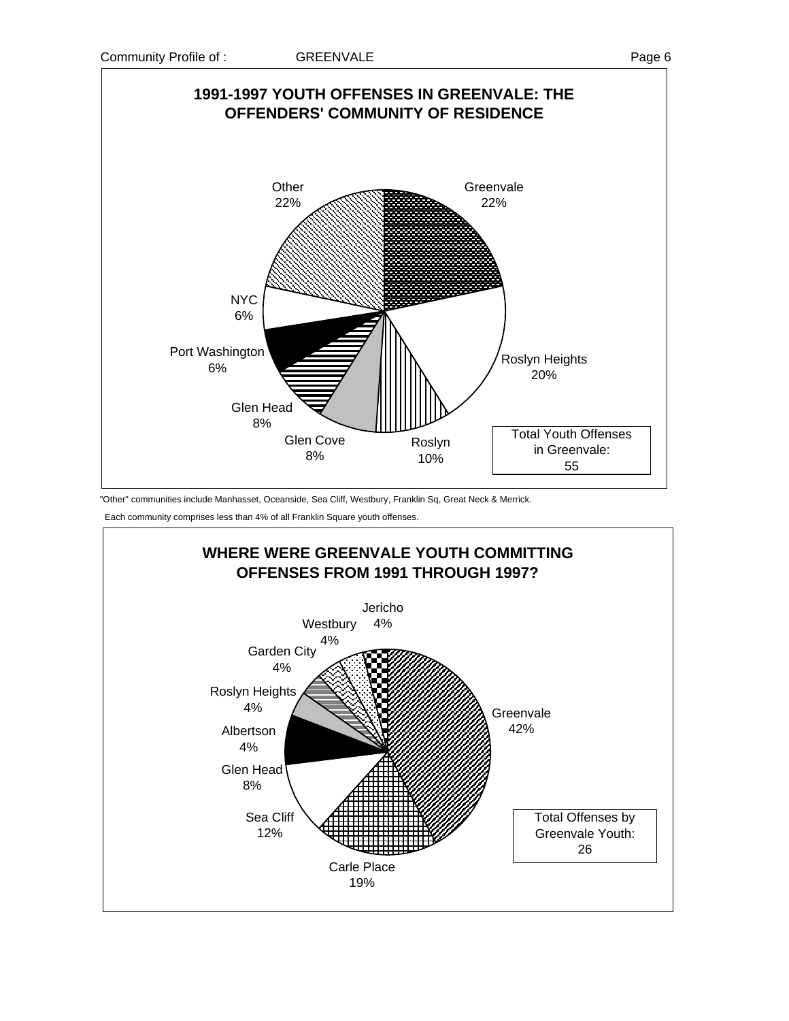

"Other" communities include Manhasset, Oceanside, Sea Cliff, Westbury, Franklin Sq, Great Neck & Merrick.

Each community comprises less than 4% of all Franklin Square youth offenses.

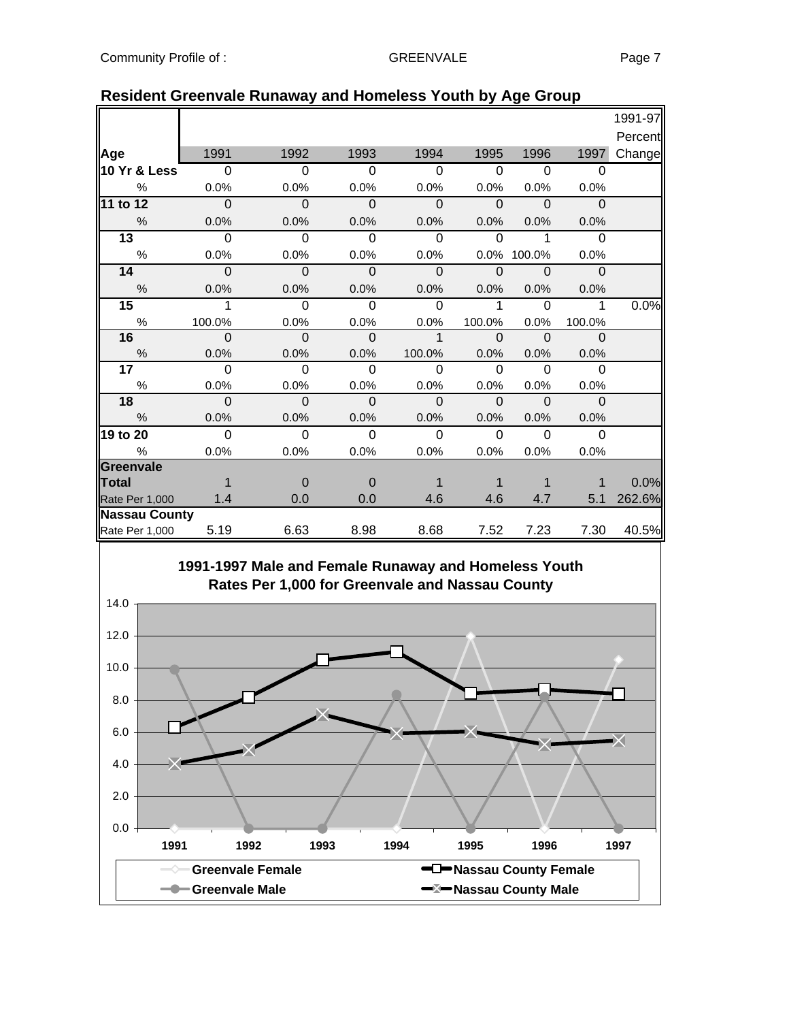|                      |             |                |             |              |                |             |              | 1991-97 |
|----------------------|-------------|----------------|-------------|--------------|----------------|-------------|--------------|---------|
|                      |             |                |             |              |                |             |              | Percent |
| Age                  | 1991        | 1992           | 1993        | 1994         | 1995           | 1996        | 1997         | Change  |
| 10 Yr & Less         | $\mathbf 0$ | $\overline{0}$ | $\Omega$    | $\Omega$     | $\overline{0}$ | $\Omega$    | $\Omega$     |         |
| $\%$                 | 0.0%        | 0.0%           | 0.0%        | 0.0%         | 0.0%           | 0.0%        | 0.0%         |         |
| 11 to 12             | $\Omega$    | $\Omega$       | $\Omega$    | $\Omega$     | $\Omega$       | $\Omega$    | $\Omega$     |         |
| %                    | 0.0%        | 0.0%           | 0.0%        | 0.0%         | 0.0%           | 0.0%        | 0.0%         |         |
| $\overline{13}$      | $\Omega$    | $\Omega$       | $\Omega$    | $\Omega$     | $\Omega$       | 1           | $\Omega$     |         |
| $\%$                 | 0.0%        | 0.0%           | 0.0%        | 0.0%         | 0.0%           | 100.0%      | 0.0%         |         |
| 14                   | $\Omega$    | $\mathbf 0$    | $\mathbf 0$ | $\mathbf{0}$ | $\mathbf 0$    | $\mathbf 0$ | $\mathbf{0}$ |         |
| $\%$                 | 0.0%        | 0.0%           | 0.0%        | 0.0%         | 0.0%           | 0.0%        | 0.0%         |         |
| 15                   | 1           | $\overline{0}$ | $\Omega$    | $\Omega$     | 1              | $\Omega$    | 1            | 0.0%    |
| $\%$                 | 100.0%      | 0.0%           | 0.0%        | 0.0%         | 100.0%         | 0.0%        | 100.0%       |         |
| 16                   | 0           | 0              | $\Omega$    | $\mathbf 1$  | $\Omega$       | ം           | $\Omega$     |         |
| $\%$                 | 0.0%        | 0.0%           | 0.0%        | 100.0%       | 0.0%           | 0.0%        | 0.0%         |         |
| 17                   | $\Omega$    | $\Omega$       | $\Omega$    | $\Omega$     | $\Omega$       | $\Omega$    | $\Omega$     |         |
| $\%$                 | 0.0%        | 0.0%           | 0.0%        | 0.0%         | 0.0%           | 0.0%        | 0.0%         |         |
| 18                   | $\Omega$    | $\Omega$       | $\Omega$    | $\mathbf{0}$ | $\Omega$       | $\Omega$    | $\mathbf{0}$ |         |
| %                    | 0.0%        | 0.0%           | 0.0%        | 0.0%         | 0.0%           | 0.0%        | 0.0%         |         |
| 19 to 20             | $\Omega$    | $\Omega$       | 0           | $\Omega$     | $\Omega$       | $\Omega$    | $\Omega$     |         |
| $\%$                 | 0.0%        | 0.0%           | 0.0%        | 0.0%         | 0.0%           | 0.0%        | 0.0%         |         |
| <b>Greenvale</b>     |             |                |             |              |                |             |              |         |
| <b>Total</b>         |             | $\Omega$       | $\Omega$    |              |                |             |              | 0.0%    |
| Rate Per 1,000       | 1.4         | 0.0            | 0.0         | 4.6          | 4.6            | 4.7         | 5.1          | 262.6%  |
| <b>Nassau County</b> |             |                |             |              |                |             |              |         |
| Rate Per 1,000       | 5.19        | 6.63           | 8.98        | 8.68         | 7.52           | 7.23        | 7.30         | 40.5%   |

#### **Resident Greenvale Runaway and Homeless Youth by Age Group**

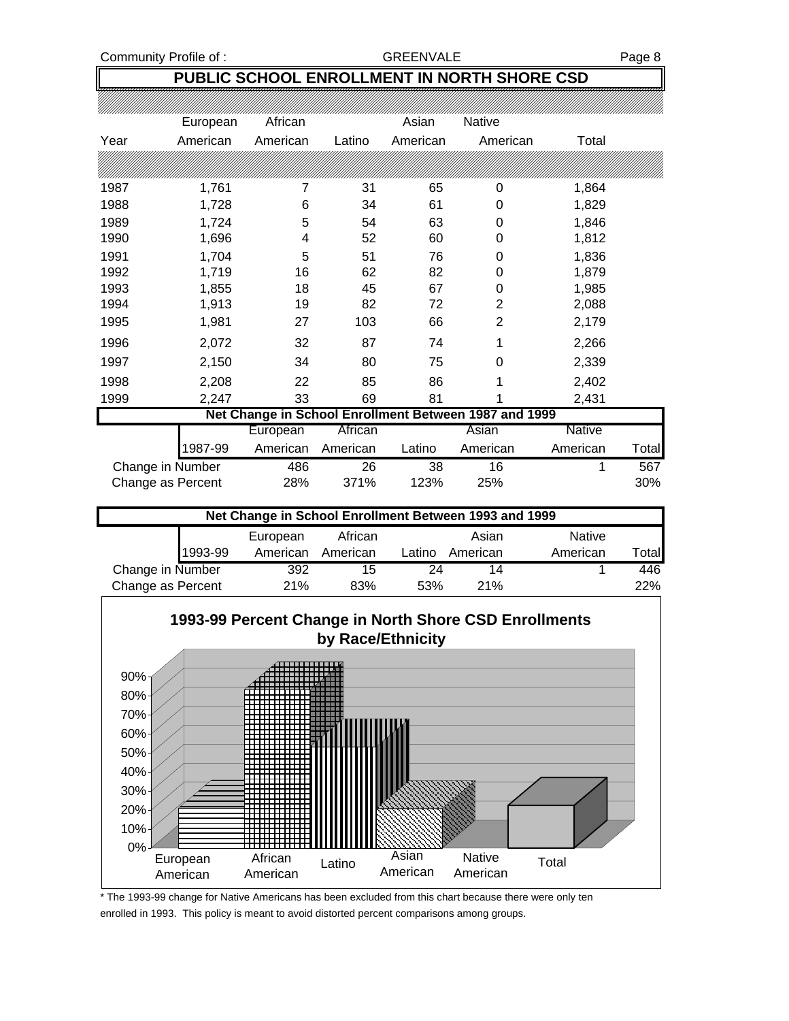Community Profile of : GREENVALE GREENVALE

#### **PUBLIC SCHOOL ENROLLMENT IN NORTH SHORE CSD**

|                   | European | African  |          | Asian    | <b>Native</b>                                         |          |              |
|-------------------|----------|----------|----------|----------|-------------------------------------------------------|----------|--------------|
| Year              | American | American | Latino   | American | American                                              | Total    |              |
|                   |          |          |          |          |                                                       |          |              |
| 1987              | 1,761    | 7        | 31       | 65       | 0                                                     | 1,864    |              |
| 1988              | 1,728    | 6        | 34       | 61       | 0                                                     | 1,829    |              |
| 1989              | 1,724    | 5        | 54       | 63       | 0                                                     | 1,846    |              |
| 1990              | 1,696    | 4        | 52       | 60       | 0                                                     | 1,812    |              |
| 1991              | 1,704    | 5        | 51       | 76       | 0                                                     | 1,836    |              |
| 1992              | 1,719    | 16       | 62       | 82       | 0                                                     | 1,879    |              |
| 1993              | 1,855    | 18       | 45       | 67       | 0                                                     | 1,985    |              |
| 1994              | 1,913    | 19       | 82       | 72       | $\overline{2}$                                        | 2,088    |              |
| 1995              | 1,981    | 27       | 103      | 66       | 2                                                     | 2,179    |              |
| 1996              | 2,072    | 32       | 87       | 74       | 1                                                     | 2,266    |              |
| 1997              | 2,150    | 34       | 80       | 75       | 0                                                     | 2,339    |              |
| 1998              | 2,208    | 22       | 85       | 86       | 1                                                     | 2,402    |              |
| 1999              | 2,247    | 33       | 69       | 81       |                                                       | 2,431    |              |
|                   |          |          |          |          | Net Change in School Enrollment Between 1987 and 1999 |          |              |
|                   |          | European | African  |          | Asian                                                 | Native   |              |
|                   | 1987-99  | American | American | Latino   | American                                              | American | <b>Total</b> |
| Change in Number  |          | 486      | 26       | 38       | 16                                                    |          | 567          |
| Change as Percent |          | 28%      | 371%     | 123%     | 25%                                                   |          | 30%          |

|                   |         | Net Change in School Enrollment Between 1993 and 1999 |          |        |          |               |        |
|-------------------|---------|-------------------------------------------------------|----------|--------|----------|---------------|--------|
|                   |         | European                                              | African  |        | Asian    | <b>Native</b> |        |
|                   | 1993-99 | American                                              | American | Latino | American | American      | Totall |
| Change in Number  |         | 392                                                   | 15       | 24     | 14       |               | 446    |
| Change as Percent |         | 21%                                                   | 83%      | 53%    | 21%      |               | 22%    |



<sup>\*</sup> The 1993-99 change for Native Americans has been excluded from this chart because there were only ten enrolled in 1993. This policy is meant to avoid distorted percent comparisons among groups.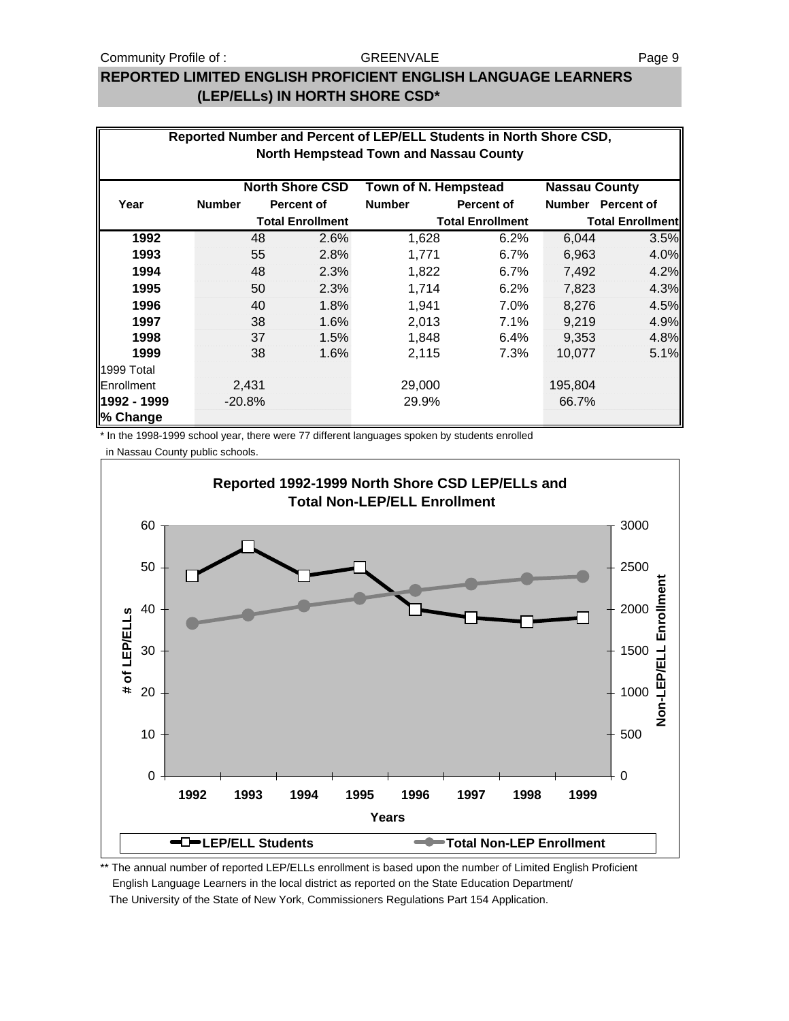#### Community Profile of : GREENVALE GREENVALE

#### **REPORTED LIMITED ENGLISH PROFICIENT ENGLISH LANGUAGE LEARNERS (LEP/ELLs) IN HORTH SHORE CSD\***

|             |               |          |                         |                                               | Reported Number and Percent of LEP/ELL Students in North Shore CSD, |                      |                         |
|-------------|---------------|----------|-------------------------|-----------------------------------------------|---------------------------------------------------------------------|----------------------|-------------------------|
|             |               |          |                         | <b>North Hempstead Town and Nassau County</b> |                                                                     |                      |                         |
|             |               |          |                         |                                               |                                                                     |                      |                         |
|             |               |          | <b>North Shore CSD</b>  | Town of N. Hempstead                          |                                                                     | <b>Nassau County</b> |                         |
| Year        | <b>Number</b> |          | <b>Percent of</b>       | <b>Number</b>                                 | Percent of                                                          |                      | Number Percent of       |
|             |               |          | <b>Total Enrollment</b> |                                               | <b>Total Enrollment</b>                                             |                      | <b>Total Enrollment</b> |
| 1992        |               | 48       | 2.6%                    | 1,628                                         | 6.2%                                                                | 6,044                | 3.5%                    |
| 1993        |               | 55       | 2.8%                    | 1,771                                         | 6.7%                                                                | 6,963                | 4.0%                    |
| 1994        |               | 48       | 2.3%                    | 1,822                                         | 6.7%                                                                | 7,492                | 4.2%                    |
| 1995        |               | 50       | 2.3%                    | 1,714                                         | 6.2%                                                                | 7,823                | 4.3%                    |
| 1996        |               | 40       | 1.8%                    | 1,941                                         | 7.0%                                                                | 8,276                | 4.5%                    |
| 1997        |               | 38       | 1.6%                    | 2,013                                         | 7.1%                                                                | 9,219                | 4.9%                    |
| 1998        |               | 37       | 1.5%                    | 1,848                                         | 6.4%                                                                | 9,353                | 4.8%                    |
| 1999        |               | 38       | 1.6%                    | 2,115                                         | 7.3%                                                                | 10,077               | 5.1%                    |
| 1999 Total  |               |          |                         |                                               |                                                                     |                      |                         |
| Enrollment  |               | 2,431    |                         | 29,000                                        |                                                                     | 195,804              |                         |
| 1992 - 1999 |               | $-20.8%$ |                         | 29.9%                                         |                                                                     | 66.7%                |                         |
| % Change    |               |          |                         |                                               |                                                                     |                      |                         |

\* In the 1998-1999 school year, there were 77 different languages spoken by students enrolled in Nassau County public schools.



\*\* The annual number of reported LEP/ELLs enrollment is based upon the number of Limited English Proficient English Language Learners in the local district as reported on the State Education Department/ The University of the State of New York, Commissioners Regulations Part 154 Application.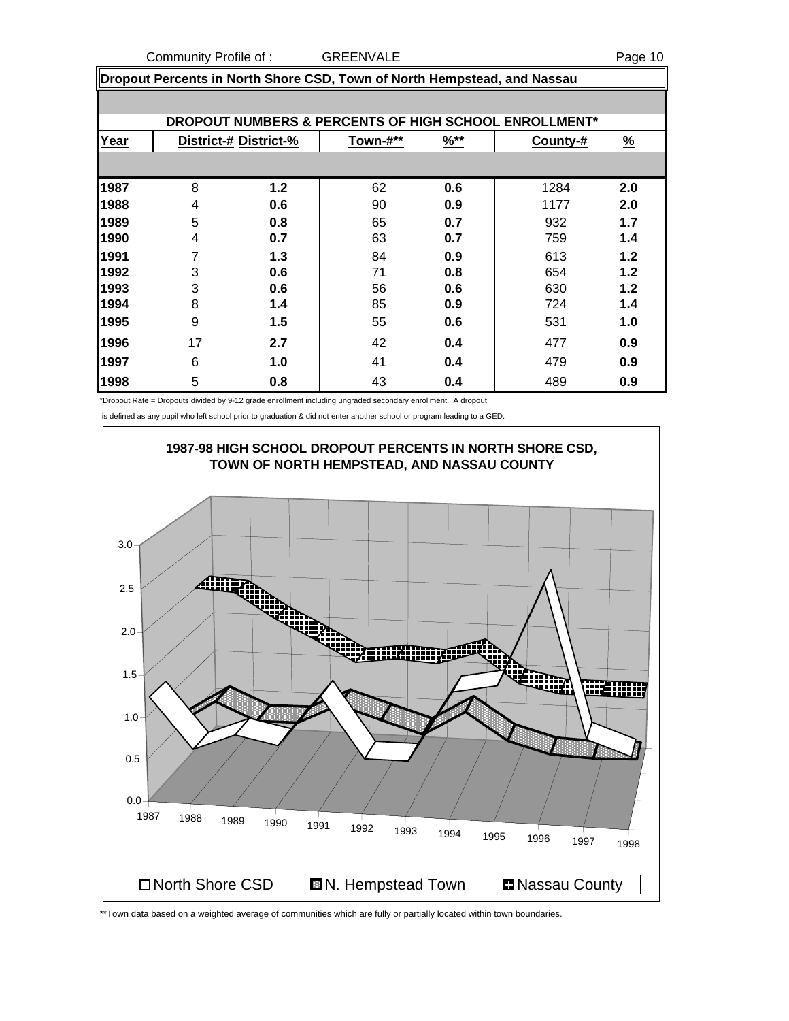Community Profile of : GREENVALE **COMMUNICAL COMMUNICATE** 

|      | Dropout Percents in North Shore CSD, Town of North Hempstead, and Nassau |                       |          |                  |                                                       |               |  |
|------|--------------------------------------------------------------------------|-----------------------|----------|------------------|-------------------------------------------------------|---------------|--|
|      |                                                                          |                       |          |                  |                                                       |               |  |
|      |                                                                          |                       |          |                  | DROPOUT NUMBERS & PERCENTS OF HIGH SCHOOL ENROLLMENT* |               |  |
| Year |                                                                          | District-# District-% | Town-#** | $\frac{96**}{8}$ | County-#                                              | $\frac{9}{6}$ |  |
|      |                                                                          |                       |          |                  |                                                       |               |  |
| 1987 | 8                                                                        | 1.2                   | 62       | 0.6              | 1284                                                  | 2.0           |  |
| 1988 | 4                                                                        | 0.6                   | 90       | 0.9              | 1177                                                  | 2.0           |  |
| 1989 | 5                                                                        | 0.8                   | 65       | 0.7              | 932                                                   | 1.7           |  |
| 1990 | 4                                                                        | 0.7                   | 63       | 0.7              | 759                                                   | 1.4           |  |
| 1991 | 7                                                                        | 1.3                   | 84       | 0.9              | 613                                                   | 1.2           |  |
| 1992 | 3                                                                        | 0.6                   | 71       | 0.8              | 654                                                   | 1.2           |  |
| 1993 | 3                                                                        | 0.6                   | 56       | 0.6              | 630                                                   | 1.2           |  |
| 1994 | 8                                                                        | 1.4                   | 85       | 0.9              | 724                                                   | 1.4           |  |
| 1995 | 9                                                                        | 1.5                   | 55       | 0.6              | 531                                                   | 1.0           |  |
| 1996 | 17                                                                       | 2.7                   | 42       | 0.4              | 477                                                   | 0.9           |  |
| 1997 | 6                                                                        | 1.0                   | 41       | 0.4              | 479                                                   | 0.9           |  |
| 1998 | 5                                                                        | 0.8                   | 43       | 0.4              | 489                                                   | 0.9           |  |

\*Dropout Rate = Dropouts divided by 9-12 grade enrollment including ungraded secondary enrollment. A dropout

is defined as any pupil who left school prior to graduation & did not enter another school or program leading to a GED.



\*\*Town data based on a weighted average of communities which are fully or partially located within town boundaries.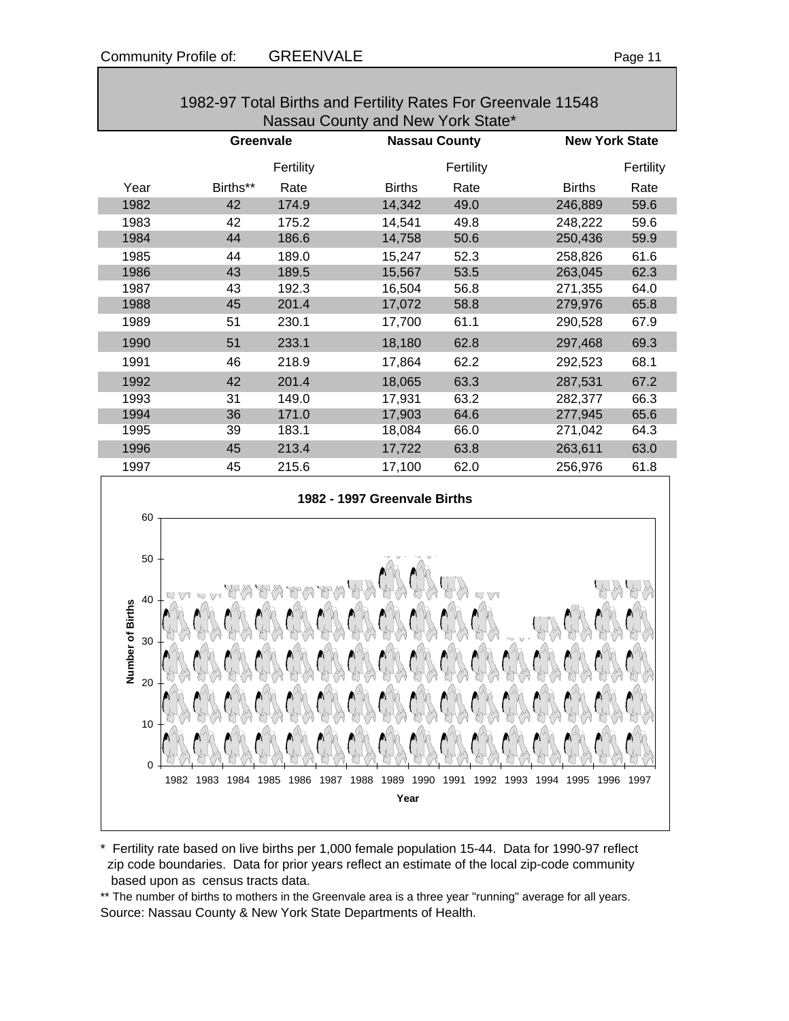|      |           |           | 1982-97 Total Births and Fertility Rates For Greenvale 11548<br>Nassau County and New York State* |                      |                       |           |
|------|-----------|-----------|---------------------------------------------------------------------------------------------------|----------------------|-----------------------|-----------|
|      | Greenvale |           |                                                                                                   | <b>Nassau County</b> | <b>New York State</b> |           |
|      |           | Fertility |                                                                                                   | Fertility            |                       | Fertility |
| Year | Births**  | Rate      | <b>Births</b>                                                                                     | Rate                 | <b>Births</b>         | Rate      |
| 1982 | 42        | 174.9     | 14,342                                                                                            | 49.0                 | 246,889               | 59.6      |
| 1983 | 42        | 175.2     | 14,541                                                                                            | 49.8                 | 248,222               | 59.6      |
| 1984 | 44        | 186.6     | 14,758                                                                                            | 50.6                 | 250,436               | 59.9      |
| 1985 | 44        | 189.0     | 15,247                                                                                            | 52.3                 | 258,826               | 61.6      |
| 1986 | 43        | 189.5     | 15,567                                                                                            | 53.5                 | 263,045               | 62.3      |
| 1987 | 43        | 192.3     | 16,504                                                                                            | 56.8                 | 271,355               | 64.0      |
| 1988 | 45        | 201.4     | 17,072                                                                                            | 58.8                 | 279,976               | 65.8      |
| 1989 | 51        | 230.1     | 17,700                                                                                            | 61.1                 | 290,528               | 67.9      |
| 1990 | 51        | 233.1     | 18,180                                                                                            | 62.8                 | 297,468               | 69.3      |
| 1991 | 46        | 218.9     | 17,864                                                                                            | 62.2                 | 292,523               | 68.1      |
| 1992 | 42        | 201.4     | 18,065                                                                                            | 63.3                 | 287,531               | 67.2      |
| 1993 | 31        | 149.0     | 17,931                                                                                            | 63.2                 | 282,377               | 66.3      |
| 1994 | 36        | 171.0     | 17,903                                                                                            | 64.6                 | 277,945               | 65.6      |
| 1995 | 39        | 183.1     | 18,084                                                                                            | 66.0                 | 271,042               | 64.3      |
| 1996 | 45        | 213.4     | 17,722                                                                                            | 63.8                 | 263,611               | 63.0      |
| 1997 | 45        | 215.6     | 17,100                                                                                            | 62.0                 | 256,976               | 61.8      |
| 60   |           |           | 1982 - 1997 Greenvale Births                                                                      |                      |                       |           |
|      |           |           |                                                                                                   |                      |                       |           |



\* Fertility rate based on live births per 1,000 female population 15-44. Data for 1990-97 reflect zip code boundaries. Data for prior years reflect an estimate of the local zip-code community based upon as census tracts data.

\*\* The number of births to mothers in the Greenvale area is a three year "running" average for all years. Source: Nassau County & New York State Departments of Health.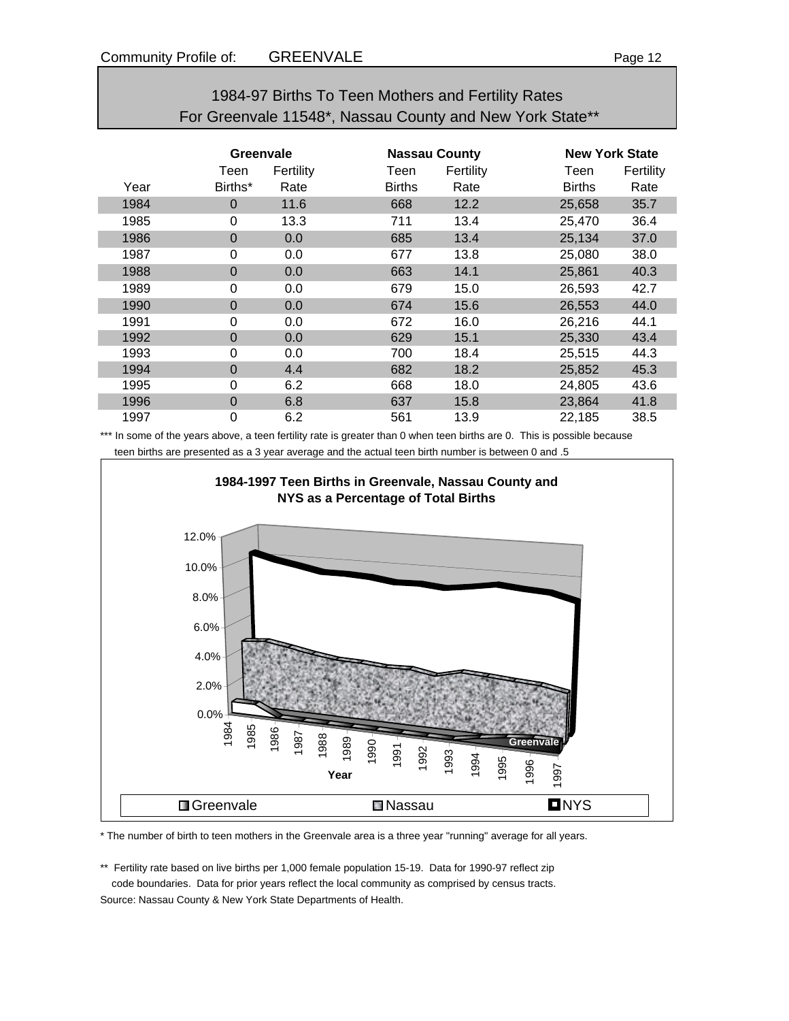| 1984-97 Births To Teen Mothers and Fertility Rates       |
|----------------------------------------------------------|
| For Greenvale 11548*, Nassau County and New York State** |

|      | Greenvale      |           |               | <b>Nassau County</b> |               | <b>New York State</b> |  |
|------|----------------|-----------|---------------|----------------------|---------------|-----------------------|--|
|      | Teen           | Fertility | Teen          | Fertility            | Teen          | Fertility             |  |
| Year | Births*        | Rate      | <b>Births</b> | Rate                 | <b>Births</b> | Rate                  |  |
| 1984 | 0              | 11.6      | 668           | 12.2                 | 25,658        | 35.7                  |  |
| 1985 | 0              | 13.3      | 711           | 13.4                 | 25,470        | 36.4                  |  |
| 1986 | $\mathbf 0$    | 0.0       | 685           | 13.4                 | 25,134        | 37.0                  |  |
| 1987 | 0              | 0.0       | 677           | 13.8                 | 25,080        | 38.0                  |  |
| 1988 | $\overline{0}$ | 0.0       | 663           | 14.1                 | 25,861        | 40.3                  |  |
| 1989 | 0              | 0.0       | 679           | 15.0                 | 26,593        | 42.7                  |  |
| 1990 | $\overline{0}$ | 0.0       | 674           | 15.6                 | 26,553        | 44.0                  |  |
| 1991 | 0              | 0.0       | 672           | 16.0                 | 26,216        | 44.1                  |  |
| 1992 | $\Omega$       | 0.0       | 629           | 15.1                 | 25,330        | 43.4                  |  |
| 1993 | 0              | 0.0       | 700           | 18.4                 | 25,515        | 44.3                  |  |
| 1994 | 0              | 4.4       | 682           | 18.2                 | 25,852        | 45.3                  |  |
| 1995 | 0              | 6.2       | 668           | 18.0                 | 24,805        | 43.6                  |  |
| 1996 | 0              | 6.8       | 637           | 15.8                 | 23,864        | 41.8                  |  |
| 1997 | 0              | 6.2       | 561           | 13.9                 | 22,185        | 38.5                  |  |

\*\*\* In some of the years above, a teen fertility rate is greater than 0 when teen births are 0. This is possible because teen births are presented as a 3 year average and the actual teen birth number is between 0 and .5



\* The number of birth to teen mothers in the Greenvale area is a three year "running" average for all years.

\*\* Fertility rate based on live births per 1,000 female population 15-19. Data for 1990-97 reflect zip code boundaries. Data for prior years reflect the local community as comprised by census tracts.